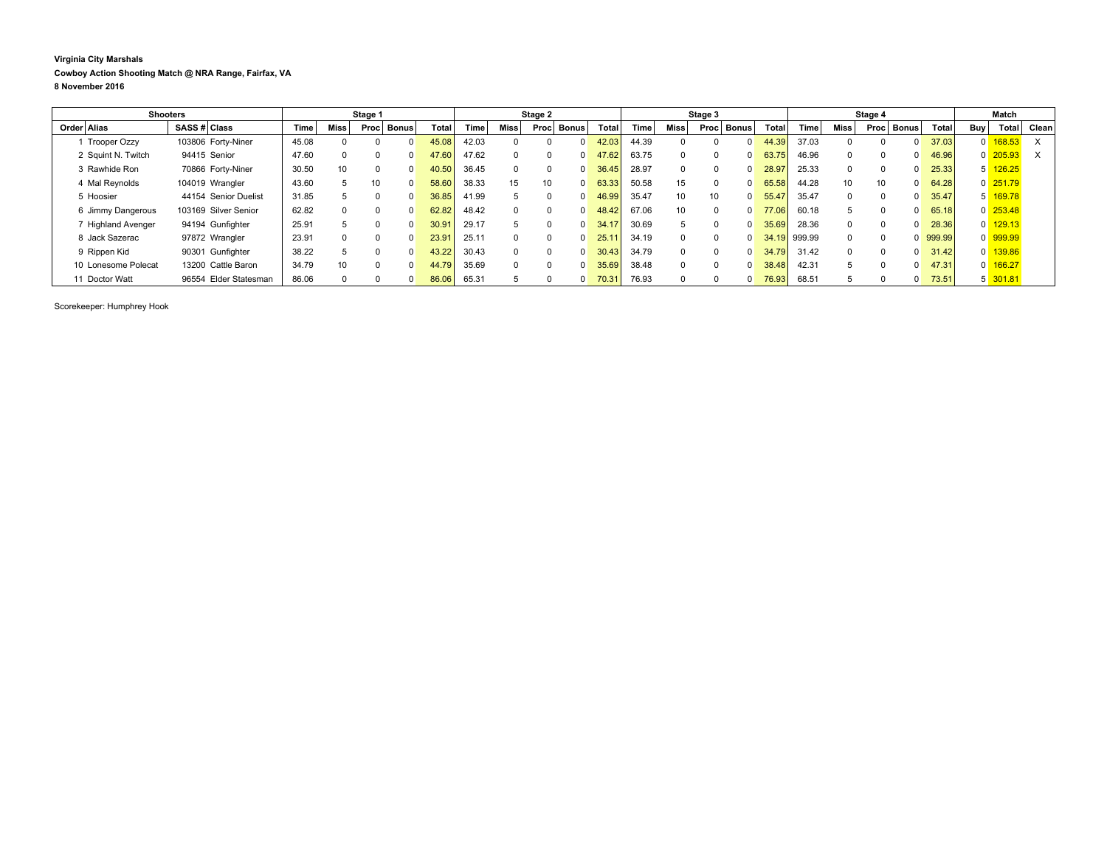## **Virginia City Marshals Cowboy Action Shooting Match @ NRA Range, Fairfax, VA 8 November 2016**

| <b>Shooters</b> |                     |              | Stage 1               |       |             |              | Stage 2 |       |       |             | Stage 3 |       |              |       | Stage 4 |          |              |        | Match  |                 |               |                       |            |                       |       |
|-----------------|---------------------|--------------|-----------------------|-------|-------------|--------------|---------|-------|-------|-------------|---------|-------|--------------|-------|---------|----------|--------------|--------|--------|-----------------|---------------|-----------------------|------------|-----------------------|-------|
|                 | Order Alias         | SASS # Class |                       | Time  | <b>Miss</b> | Proc         | Bonus   | Total | Time  | <b>Miss</b> | Proc    | Bonus | <b>Total</b> | Time. | Miss    | Proc     | <b>Bonus</b> | Total  | Time   | Miss            | Bonus<br>Proc | Total                 | <b>Buy</b> | Total                 | Clean |
|                 | <b>Trooper Ozzy</b> |              | 103806 Forty-Niner    | 45.08 |             |              |         | 45.08 | 42.03 |             |         |       |              | 44.39 |         |          |              | 44     | 37.03  |                 |               | 37.03<br>0            |            | $0 \overline{168.53}$ | X     |
|                 | 2 Squint N. Twitch  |              | 94415 Senior          | 47.60 | 0           |              |         | 47.60 | 47.62 | $\Omega$    |         |       | 47.62        | 63.75 |         | $\Omega$ |              | 63.75  | 46.96  | $\Omega$        |               | 46.96<br><sup>0</sup> |            | $0\overline{205.93}$  | X     |
|                 | 3 Rawhide Ron       |              | 70866 Forty-Niner     | 30.50 | 10          |              |         | 40.50 | 36.45 | $\Omega$    |         |       | 36.45        | 28.97 |         | $\Omega$ |              | 28.9   | 25.33  | $\Omega$        | $\Omega$      | 25.33<br>$\Omega$     |            | $5 \overline{126.25}$ |       |
|                 | 4 Mal Reynolds      |              | 104019 Wrangler       | 43.60 | 5           | 10           |         | 58.60 | 38.33 | 15          | 10      |       | 63.33        | 50.58 | 15      | $\Omega$ |              | 65.58  | 44.28  | 10 <sup>1</sup> | 10            | 64.28<br><sup>0</sup> |            | $0$ 251.79            |       |
|                 | 5 Hoosier           |              | 44154 Senior Duelist  | 31.85 |             |              |         | 36.85 | 41.99 | 5           |         |       | 46.99        | 35.47 | 10      | 10       |              | 55.4   | 35.47  | $\Omega$        | $\Omega$      | 35.47<br><sup>0</sup> |            | 5 169.78              |       |
|                 | 6 Jimmy Dangerous   |              | 103169 Silver Senior  | 62.82 | 0           | <sup>0</sup> |         | 62.82 | 48.42 | $\Omega$    |         |       | 48.42        | 67.06 | 10      | $\Omega$ |              | 77,06  | 60.18  |                 |               | 65.18<br>$\Omega$     |            | $0\overline{253.48}$  |       |
|                 | 7 Highland Avenger  |              | 94194 Gunfighter      | 25.91 |             |              |         | 30.91 | 29.17 | 5           |         |       | 34.1         | 30.69 |         | $\Omega$ |              | 35.6   | 28.36  |                 |               | 28.36<br>0            |            | $0$ 129.13            |       |
|                 | 8 Jack Sazerac      |              | 97872 Wrangler        | 23.91 | 0           |              |         | 23.9' | 25.11 | $\Omega$    |         |       | 25.1         | 34.19 |         |          |              | 34.19  | 999.99 | $\Omega$        |               | 999.99<br>$\Omega$    |            | 0 999.99              |       |
|                 | 9 Rippen Kid        |              | 90301 Gunfighter      | 38.22 |             |              |         | 43.22 | 30.43 | $\Omega$    |         |       | 30.43        | 34.79 |         | $\Omega$ |              | 34.79  | 31.42  | $\Omega$        |               | 31.42<br>$\Omega$     |            | $0$ 139.86            |       |
|                 | 10 Lonesome Polecat |              | 13200 Cattle Baron    | 34.79 | 10          |              |         | 44.79 | 35.69 | $\Omega$    |         |       | 35.69        | 38.48 |         | $\Omega$ |              | 38.48  | 42.31  |                 |               | 47.31<br><sup>0</sup> |            | $0$ 166.27            |       |
|                 | 11 Doctor Watt      |              | 96554 Elder Statesman | 86.06 | 0           |              |         | 86.06 | 65.31 | 5           |         |       | 70.3'        | 76.93 |         | $\Omega$ |              | 76.931 | 68.51  |                 |               | 73.51<br>0            |            | $5\overline{301.81}$  |       |

Scorekeeper: Humphrey Hook